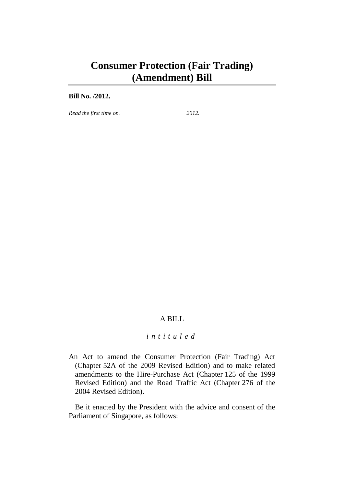# **Consumer Protection (Fair Trading) (Amendment) Bill**

#### **Bill No. /2012.**

*Read the first time on. 2012.*

## A BILL

## *intituled*

An Act to amend the Consumer Protection (Fair Trading) Act (Chapter 52A of the 2009 Revised Edition) and to make related amendments to the Hire-Purchase Act (Chapter 125 of the 1999 Revised Edition) and the Road Traffic Act (Chapter 276 of the 2004 Revised Edition).

Be it enacted by the President with the advice and consent of the Parliament of Singapore, as follows: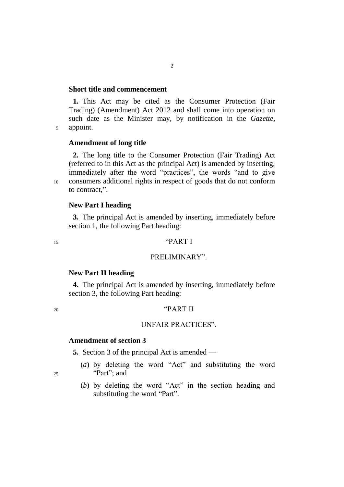#### **Short title and commencement**

**1.** This Act may be cited as the Consumer Protection (Fair Trading) (Amendment) Act 2012 and shall come into operation on such date as the Minister may, by notification in the *Gazette*, <sup>5</sup> appoint.

## **Amendment of long title**

**2.** The long title to the Consumer Protection (Fair Trading) Act (referred to in this Act as the principal Act) is amended by inserting, immediately after the word "practices", the words "and to give <sup>10</sup> consumers additional rights in respect of goods that do not conform to contract,".

**New Part I heading**

**3.** The principal Act is amended by inserting, immediately before section 1, the following Part heading:

## $^{15}$  "PART I"

## PRELIMINARY".

#### **New Part II heading**

**4.** The principal Act is amended by inserting, immediately before section 3, the following Part heading:

## <sup>20</sup> "PART II

#### UNFAIR PRACTICES".

## **Amendment of section 3**

**5.** Section 3 of the principal Act is amended —

- (*a*) by deleting the word "Act" and substituting the word <sup>25</sup> "Part"; and
	- - (*b*) by deleting the word "Act" in the section heading and substituting the word "Part".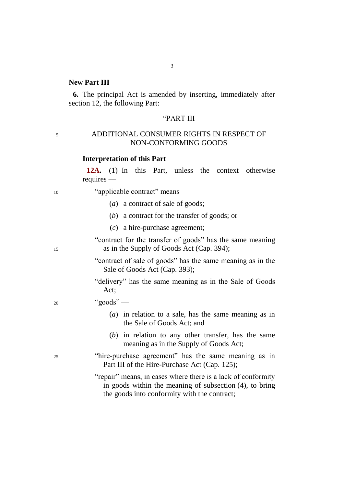## **New Part III**

**6.** The principal Act is amended by inserting, immediately after section 12, the following Part:

3

## "PART III

## <sup>5</sup> ADDITIONAL CONSUMER RIGHTS IN RESPECT OF NON-CONFORMING GOODS

#### **Interpretation of this Part**

**12A.**—(1) In this Part, unless the context otherwise requires —

<sup>10</sup> "applicable contract" means —

- (*a*) a contract of sale of goods;
- (*b*) a contract for the transfer of goods; or
- (*c*) a hire-purchase agreement;

"contract for the transfer of goods" has the same meaning 15 as in the Supply of Goods Act (Cap. 394);

- "contract of sale of goods" has the same meaning as in the Sale of Goods Act (Cap. 393);
- "delivery" has the same meaning as in the Sale of Goods Act;
- <sup>20</sup> "goods"
	- (*a*) in relation to a sale, has the same meaning as in the Sale of Goods Act; and
	- (*b*) in relation to any other transfer, has the same meaning as in the Supply of Goods Act;
- <sup>25</sup> "hire-purchase agreement" has the same meaning as in Part III of the Hire-Purchase Act (Cap. 125);

"repair" means, in cases where there is a lack of conformity in goods within the meaning of subsection (4), to bring the goods into conformity with the contract;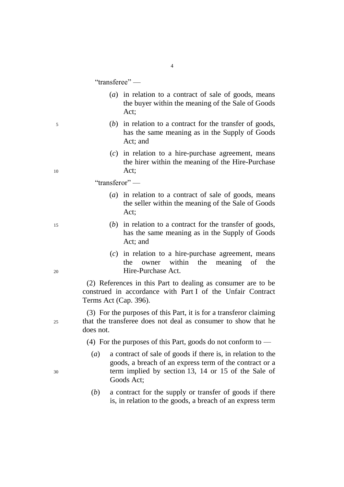"transferee" —

(*a*) in relation to a contract of sale of goods, means the buyer within the meaning of the Sale of Goods Act;

4

- <sup>5</sup> (*b*) in relation to a contract for the transfer of goods, has the same meaning as in the Supply of Goods Act; and
- (*c*) in relation to a hire-purchase agreement, means the hirer within the meaning of the Hire-Purchase <sup>10</sup> Act;

"transferor" —

- (*a*) in relation to a contract of sale of goods, means the seller within the meaning of the Sale of Goods Act;
- <sup>15</sup> (*b*) in relation to a contract for the transfer of goods, has the same meaning as in the Supply of Goods Act; and
- (*c*) in relation to a hire-purchase agreement, means the owner within the meaning of the <sup>20</sup> Hire-Purchase Act.

(2) References in this Part to dealing as consumer are to be construed in accordance with Part I of the Unfair Contract Terms Act (Cap. 396).

(3) For the purposes of this Part, it is for a transferor claiming <sup>25</sup> that the transferee does not deal as consumer to show that he does not.

(4) For the purposes of this Part, goods do not conform to  $-$ 

- (*a*) a contract of sale of goods if there is, in relation to the goods, a breach of an express term of the contract or a <sup>30</sup> term implied by section 13, 14 or 15 of the Sale of Goods Act;
	- (*b*) a contract for the supply or transfer of goods if there is, in relation to the goods, a breach of an express term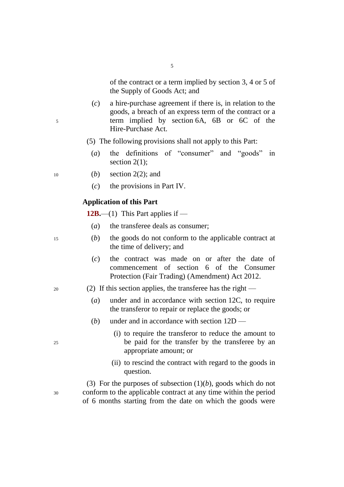of the contract or a term implied by section 3, 4 or 5 of the Supply of Goods Act; and

- (*c*) a hire-purchase agreement if there is, in relation to the goods, a breach of an express term of the contract or a <sup>5</sup> term implied by section 6A, 6B or 6C of the Hire-Purchase Act.
	- (5) The following provisions shall not apply to this Part:

5

(*a*) the definitions of "consumer" and "goods" in section 2(1):

<sup>10</sup> (*b*) section 2(2); and

(*c*) the provisions in Part IV.

## **Application of this Part**

**12B.**—(1) This Part applies if —

- (*a*) the transferee deals as consumer;
- <sup>15</sup> (*b*) the goods do not conform to the applicable contract at the time of delivery; and
	- (*c*) the contract was made on or after the date of commencement of section 6 of the Consumer Protection (Fair Trading) (Amendment) Act 2012.
- <sup>20</sup> (2) If this section applies, the transferee has the right
	- (*a*) under and in accordance with section 12C, to require the transferor to repair or replace the goods; or
	- (*b*) under and in accordance with section 12D —
- (i) to require the transferor to reduce the amount to <sup>25</sup> be paid for the transfer by the transferee by an appropriate amount; or
	- (ii) to rescind the contract with regard to the goods in question.

(3) For the purposes of subsection (1)(*b*), goods which do not <sup>30</sup> conform to the applicable contract at any time within the period of 6 months starting from the date on which the goods were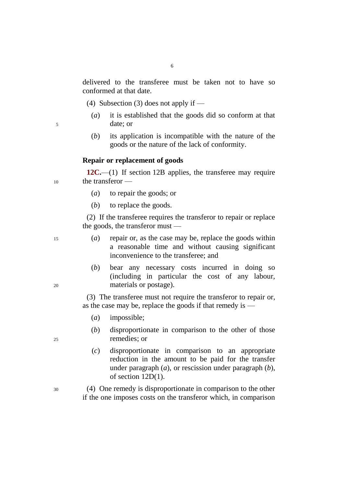delivered to the transferee must be taken not to have so conformed at that date.

(4) Subsection (3) does not apply if —

- (*a*) it is established that the goods did so conform at that <sup>5</sup> date; or
	- (*b*) its application is incompatible with the nature of the goods or the nature of the lack of conformity.

#### **Repair or replacement of goods**

**12C.**—(1) If section 12B applies, the transferee may require <sup>10</sup> the transferor —

- (*a*) to repair the goods; or
- (*b*) to replace the goods.

(2) If the transferee requires the transferor to repair or replace the goods, the transferor must —

<sup>15</sup> (*a*) repair or, as the case may be, replace the goods within a reasonable time and without causing significant inconvenience to the transferee; and

(*b*) bear any necessary costs incurred in doing so (including in particular the cost of any labour, <sup>20</sup> materials or postage).

> (3) The transferee must not require the transferor to repair or, as the case may be, replace the goods if that remedy is —

- (*a*) impossible;
- (*b*) disproportionate in comparison to the other of those <sup>25</sup> remedies; or
	- (*c*) disproportionate in comparison to an appropriate reduction in the amount to be paid for the transfer under paragraph (*a*), or rescission under paragraph (*b*), of section 12D(1).
- <sup>30</sup> (4) One remedy is disproportionate in comparison to the other if the one imposes costs on the transferor which, in comparison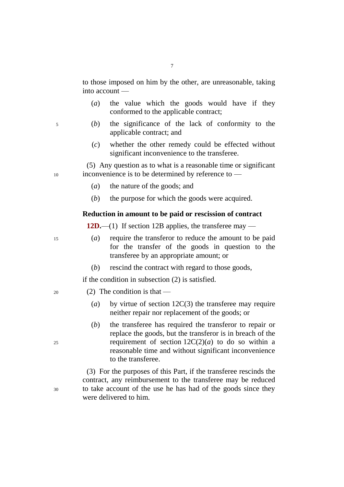7

to those imposed on him by the other, are unreasonable, taking into account —

- (*a*) the value which the goods would have if they conformed to the applicable contract;
- <sup>5</sup> (*b*) the significance of the lack of conformity to the applicable contract; and
	- (*c*) whether the other remedy could be effected without significant inconvenience to the transferee.

(5) Any question as to what is a reasonable time or significant <sup>10</sup> inconvenience is to be determined by reference to —

- (*a*) the nature of the goods; and
- (*b*) the purpose for which the goods were acquired.

## **Reduction in amount to be paid or rescission of contract**

**12D.**—(1) If section 12B applies, the transferee may —

- <sup>15</sup> (*a*) require the transferor to reduce the amount to be paid for the transfer of the goods in question to the transferee by an appropriate amount; or
	- (*b*) rescind the contract with regard to those goods,

if the condition in subsection (2) is satisfied.

- $20 \qquad (2)$  The condition is that
	- (*a*) by virtue of section 12C(3) the transferee may require neither repair nor replacement of the goods; or
- (*b*) the transferee has required the transferor to repair or replace the goods, but the transferor is in breach of the  $25$  requirement of section  $12C(2)(a)$  to do so within a reasonable time and without significant inconvenience to the transferee.

(3) For the purposes of this Part, if the transferee rescinds the contract, any reimbursement to the transferee may be reduced <sup>30</sup> to take account of the use he has had of the goods since they were delivered to him.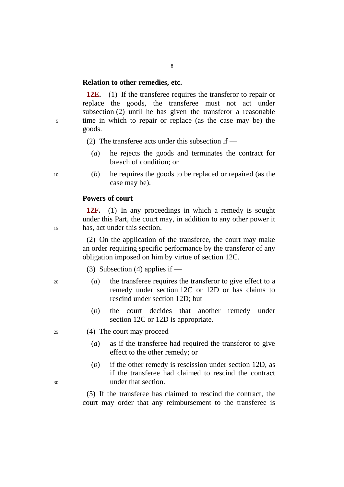#### **Relation to other remedies, etc.**

**12E.**—(1) If the transferee requires the transferor to repair or replace the goods, the transferee must not act under subsection (2) until he has given the transferor a reasonable <sup>5</sup> time in which to repair or replace (as the case may be) the goods.

(2) The transferee acts under this subsection if  $-$ 

- (*a*) he rejects the goods and terminates the contract for breach of condition; or
- <sup>10</sup> (*b*) he requires the goods to be replaced or repaired (as the case may be).

### **Powers of court**

**12F.**—(1) In any proceedings in which a remedy is sought under this Part, the court may, in addition to any other power it <sup>15</sup> has, act under this section.

> (2) On the application of the transferee, the court may make an order requiring specific performance by the transferor of any obligation imposed on him by virtue of section 12C.

(3) Subsection (4) applies if  $-$ 

- <sup>20</sup> (*a*) the transferee requires the transferor to give effect to a remedy under section 12C or 12D or has claims to rescind under section 12D; but
	- (*b*) the court decides that another remedy under section 12C or 12D is appropriate.
- <sup>25</sup> (4) The court may proceed
	- (*a*) as if the transferee had required the transferor to give effect to the other remedy; or
- (*b*) if the other remedy is rescission under section 12D, as if the transferee had claimed to rescind the contract <sup>30</sup> under that section.

(5) If the transferee has claimed to rescind the contract, the court may order that any reimbursement to the transferee is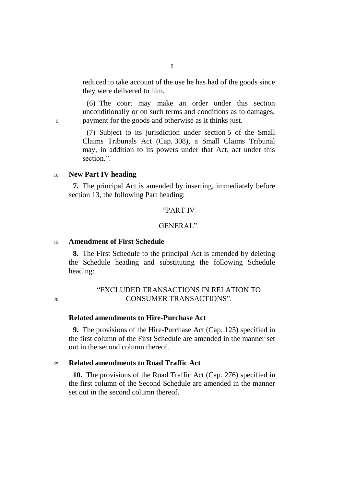reduced to take account of the use he has had of the goods since they were delivered to him.

(6) The court may make an order under this section unconditionally or on such terms and conditions as to damages, <sup>5</sup> payment for the goods and otherwise as it thinks just.

> (7) Subject to its jurisdiction under section 5 of the Small Claims Tribunals Act (Cap. 308), a Small Claims Tribunal may, in addition to its powers under that Act, act under this section.".

## <sup>10</sup> **New Part IV heading**

**7.** The principal Act is amended by inserting, immediately before section 13, the following Part heading:

## "PART IV

## GENERAL".

## <sup>15</sup> **Amendment of First Schedule**

**8.** The First Schedule to the principal Act is amended by deleting the Schedule heading and substituting the following Schedule heading:

## "EXCLUDED TRANSACTIONS IN RELATION TO <sup>20</sup> CONSUMER TRANSACTIONS".

## **Related amendments to Hire-Purchase Act**

**9.** The provisions of the Hire-Purchase Act (Cap. 125) specified in the first column of the First Schedule are amended in the manner set out in the second column thereof.

## <sup>25</sup> **Related amendments to Road Traffic Act**

**10.** The provisions of the Road Traffic Act (Cap. 276) specified in the first column of the Second Schedule are amended in the manner set out in the second column thereof.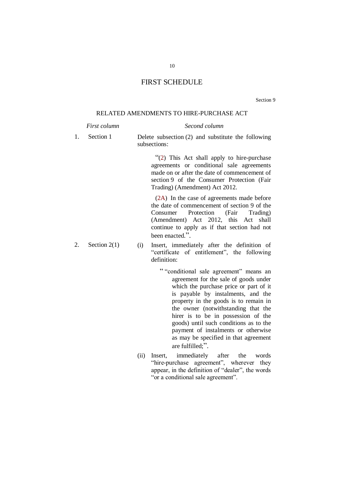## FIRST SCHEDULE

Section 9

#### RELATED AMENDMENTS TO HIRE-PURCHASE ACT

|    | First column   | Second column                                                                                                                                                                                                                                                                         |  |  |
|----|----------------|---------------------------------------------------------------------------------------------------------------------------------------------------------------------------------------------------------------------------------------------------------------------------------------|--|--|
| 1. | Section 1      | Delete subsection $(2)$ and substitute the following<br>subsections:                                                                                                                                                                                                                  |  |  |
|    |                | "(2) This Act shall apply to hire-purchase<br>agreements or conditional sale agreements<br>made on or after the date of commencement of<br>section 9 of the Consumer Protection (Fair<br>Trading) (Amendment) Act 2012.                                                               |  |  |
|    |                | (2A) In the case of agreements made before<br>the date of commencement of section 9 of the<br>Protection (Fair<br>Trading)<br>Consumer<br>(Amendment) Act 2012, this Act shall<br>continue to apply as if that section had not<br>been enacted.".                                     |  |  |
| 2. | Section $2(1)$ | Insert, immediately after the definition of<br>(i)<br>"certificate of entitlement", the following<br>definition:                                                                                                                                                                      |  |  |
|    |                | "conditional sale agreement" means an<br>agreement for the sale of goods under<br>which the purchase price or part of it<br>is payable by instalments, and the<br>property in the goods is to remain in<br>the owner (notwithstanding that the<br>hirer is to be in possession of the |  |  |

- goods) until such conditions as to the payment of instalments or otherwise as may be specified in that agreement are fulfilled;".
- (ii) Insert, immediately after the words "hire-purchase agreement", wherever they appear, in the definition of "dealer", the words "or a conditional sale agreement".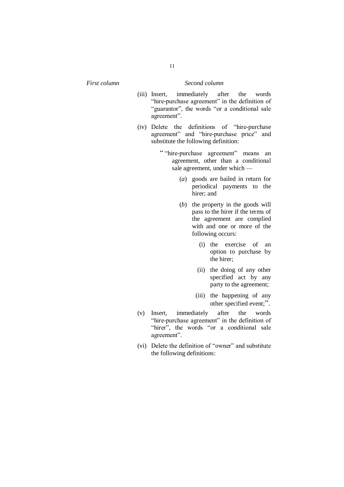- (iii) Insert, immediately after the words "hire-purchase agreement" in the definition of "guarantor", the words "or a conditional sale agreement".
- (iv) Delete the definitions of "hire-purchase agreement" and "hire-purchase price" and substitute the following definition:
	- " "hire-purchase agreement" means an agreement, other than a conditional sale agreement, under which —
		- (*a*) goods are bailed in return for periodical payments to the hirer; and
		- (*b*) the property in the goods will pass to the hirer if the terms of the agreement are complied with and one or more of the following occurs:
			- (i) the exercise of an option to purchase by the hirer;
			- (ii) the doing of any other specified act by any party to the agreement;
			- (iii) the happening of any other specified event;".
- (v) Insert, immediately after the words "hire-purchase agreement" in the definition of "hirer", the words "or a conditional sale agreement".
- (vi) Delete the definition of "owner" and substitute the following definitions: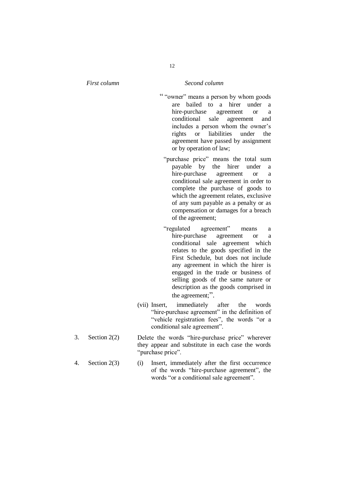- " "owner" means a person by whom goods are bailed to a hirer under a hire-purchase agreement or a conditional sale agreement and includes a person whom the owner's rights or liabilities under the agreement have passed by assignment or by operation of law;
	- "purchase price" means the total sum payable by the hirer under a hire-purchase agreement or a conditional sale agreement in order to complete the purchase of goods to which the agreement relates, exclusive of any sum payable as a penalty or as compensation or damages for a breach of the agreement;
- "regulated agreement" means a hire-purchase agreement or a conditional sale agreement which relates to the goods specified in the First Schedule, but does not include any agreement in which the hirer is engaged in the trade or business of selling goods of the same nature or description as the goods comprised in the agreement;".
- (vii) Insert, immediately after the words "hire-purchase agreement" in the definition of "vehicle registration fees", the words "or a conditional sale agreement".
- 3. Section 2(2) Delete the words "hire-purchase price" wherever they appear and substitute in each case the words "purchase price".
- 4. Section 2(3) (i) Insert, immediately after the first occurrence of the words "hire-purchase agreement", the words "or a conditional sale agreement".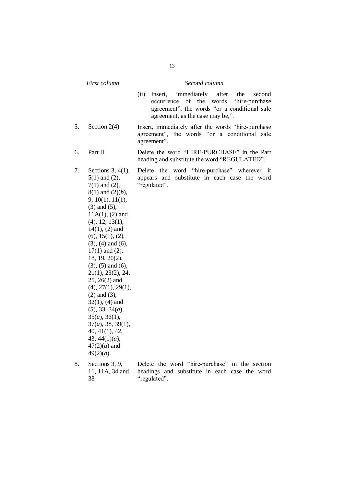|    | First column                                                                                                                                                                                                                                                                                                                                                                                                                                                                                                                                                                 | Second column                                                                                                                                                                              |  |  |  |
|----|------------------------------------------------------------------------------------------------------------------------------------------------------------------------------------------------------------------------------------------------------------------------------------------------------------------------------------------------------------------------------------------------------------------------------------------------------------------------------------------------------------------------------------------------------------------------------|--------------------------------------------------------------------------------------------------------------------------------------------------------------------------------------------|--|--|--|
|    |                                                                                                                                                                                                                                                                                                                                                                                                                                                                                                                                                                              | immediately<br>after<br>(ii)<br>Insert,<br>the<br>second<br>of the words "hire-purchase"<br>occurrence<br>agreement", the words "or a conditional sale<br>agreement, as the case may be,". |  |  |  |
| 5. | Section $2(4)$                                                                                                                                                                                                                                                                                                                                                                                                                                                                                                                                                               | Insert, immediately after the words "hire-purchase<br>agreement", the words "or a conditional sale<br>agreement".                                                                          |  |  |  |
| 6. | Part II                                                                                                                                                                                                                                                                                                                                                                                                                                                                                                                                                                      | Delete the word "HIRE-PURCHASE" in the Part<br>heading and substitute the word "REGULATED".                                                                                                |  |  |  |
| 7. | Sections $3, 4(1)$ ,<br>$5(1)$ and $(2)$ ,<br>$7(1)$ and $(2)$ ,<br>$8(1)$ and $(2)(b)$ ,<br>9, 10(1), 11(1),<br>$(3)$ and $(5)$ ,<br>$11A(1)$ , (2) and<br>$(4)$ , 12, 13(1),<br>$14(1)$ , (2) and<br>(6), 15(1), (2),<br>$(3)$ , $(4)$ and $(6)$ ,<br>$17(1)$ and $(2)$ ,<br>18, 19, 20(2),<br>$(3)$ , $(5)$ and $(6)$ ,<br>21(1), 23(2), 24,<br>$25, 26(2)$ and<br>(4), 27(1), 29(1),<br>$(2)$ and $(3)$ ,<br>$32(1)$ , (4) and<br>(5), 33, 34(a),<br>$35(a)$ , $36(1)$ ,<br>$37(a)$ , 38, 39(1),<br>40, 41(1), 42,<br>43, $44(1)(a)$ ,<br>$47(2)(a)$ and<br>$49(2)(b)$ . | word "hire-purchase" wherever it<br>Delete the<br>appears and substitute in each case the word<br>"regulated".                                                                             |  |  |  |
| 8. | Sections 3, 9,<br>11, 11A, 34 and<br>38                                                                                                                                                                                                                                                                                                                                                                                                                                                                                                                                      | Delete the word "hire-purchase" in the section<br>headings and substitute in each case the word<br>"regulated".                                                                            |  |  |  |

13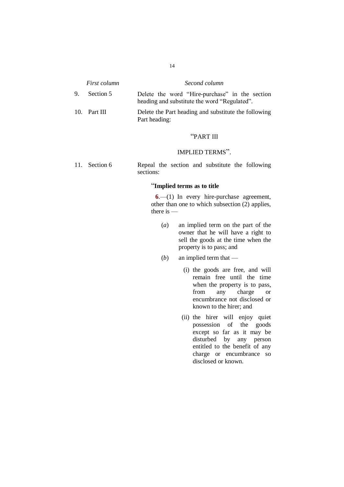| <i>First column</i> | Second column                                                                                  |  |  |
|---------------------|------------------------------------------------------------------------------------------------|--|--|
| 9. Section 5        | Delete the word "Hire-purchase" in the section<br>heading and substitute the word "Regulated". |  |  |
| 10. Part III        | Delete the Part heading and substitute the following                                           |  |  |

Part heading:

#### "PART III

## IMPLIED TERMS".

11. Section 6 Repeal the section and substitute the following sections:

#### "**Implied terms as to title**

**6**.—(1) In every hire-purchase agreement, other than one to which subsection (2) applies, there is —

- (*a*) an implied term on the part of the owner that he will have a right to sell the goods at the time when the property is to pass; and
- (*b*) an implied term that
	- (i) the goods are free, and will remain free until the time when the property is to pass, from any charge or encumbrance not disclosed or known to the hirer; and
	- (ii) the hirer will enjoy quiet possession of the goods except so far as it may be disturbed by any person entitled to the benefit of any charge or encumbrance so disclosed or known.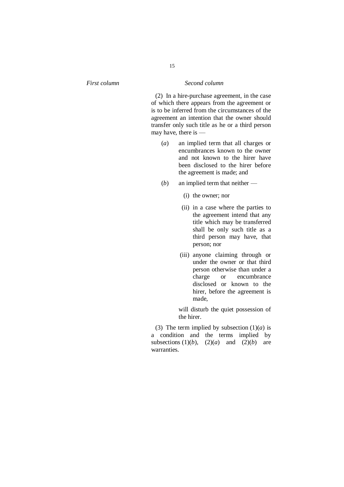(2) In a hire-purchase agreement, in the case of which there appears from the agreement or is to be inferred from the circumstances of the agreement an intention that the owner should transfer only such title as he or a third person may have, there is —

- (*a*) an implied term that all charges or encumbrances known to the owner and not known to the hirer have been disclosed to the hirer before the agreement is made; and
- (*b*) an implied term that neither
	- (i) the owner; nor
	- (ii) in a case where the parties to the agreement intend that any title which may be transferred shall be only such title as a third person may have, that person; nor
	- (iii) anyone claiming through or under the owner or that third person otherwise than under a charge or encumbrance disclosed or known to the hirer, before the agreement is made,

will disturb the quiet possession of the hirer.

(3) The term implied by subsection  $(1)(a)$  is a condition and the terms implied by subsections  $(1)(b)$ ,  $(2)(a)$  and  $(2)(b)$  are warranties.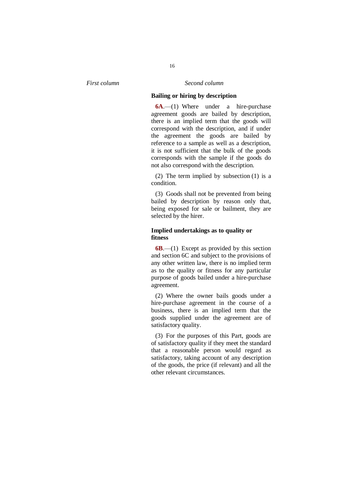#### **Bailing or hiring by description**

**6A**.—(1) Where under a hire-purchase agreement goods are bailed by description, there is an implied term that the goods will correspond with the description, and if under the agreement the goods are bailed by reference to a sample as well as a description, it is not sufficient that the bulk of the goods corresponds with the sample if the goods do not also correspond with the description.

(2) The term implied by subsection (1) is a condition.

(3) Goods shall not be prevented from being bailed by description by reason only that, being exposed for sale or bailment, they are selected by the hirer.

#### **Implied undertakings as to quality or fitness**

**6B**.—(1) Except as provided by this section and section 6C and subject to the provisions of any other written law, there is no implied term as to the quality or fitness for any particular purpose of goods bailed under a hire-purchase agreement.

(2) Where the owner bails goods under a hire-purchase agreement in the course of a business, there is an implied term that the goods supplied under the agreement are of satisfactory quality.

(3) For the purposes of this Part, goods are of satisfactory quality if they meet the standard that a reasonable person would regard as satisfactory, taking account of any description of the goods, the price (if relevant) and all the other relevant circumstances.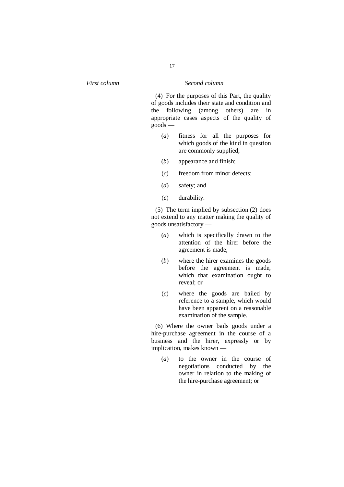(4) For the purposes of this Part, the quality of goods includes their state and condition and the following (among others) are in appropriate cases aspects of the quality of  $g$ oods —

- (*a*) fitness for all the purposes for which goods of the kind in question are commonly supplied;
- (*b*) appearance and finish;
- (*c*) freedom from minor defects;
- (*d*) safety; and
- (*e*) durability.

(5) The term implied by subsection (2) does not extend to any matter making the quality of goods unsatisfactory —

- (*a*) which is specifically drawn to the attention of the hirer before the agreement is made;
- (*b*) where the hirer examines the goods before the agreement is made, which that examination ought to reveal; or
- (*c*) where the goods are bailed by reference to a sample, which would have been apparent on a reasonable examination of the sample.

(6) Where the owner bails goods under a hire-purchase agreement in the course of a business and the hirer, expressly or by implication, makes known —

(*a*) to the owner in the course of negotiations conducted by the owner in relation to the making of the hire-purchase agreement; or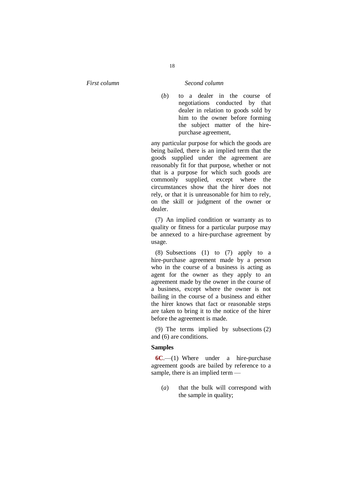(*b*) to a dealer in the course of negotiations conducted by that dealer in relation to goods sold by him to the owner before forming the subject matter of the hirepurchase agreement,

any particular purpose for which the goods are being bailed, there is an implied term that the goods supplied under the agreement are reasonably fit for that purpose, whether or not that is a purpose for which such goods are commonly supplied, except where the circumstances show that the hirer does not rely, or that it is unreasonable for him to rely, on the skill or judgment of the owner or dealer.

(7) An implied condition or warranty as to quality or fitness for a particular purpose may be annexed to a hire-purchase agreement by usage.

(8) Subsections (1) to (7) apply to a hire-purchase agreement made by a person who in the course of a business is acting as agent for the owner as they apply to an agreement made by the owner in the course of a business, except where the owner is not bailing in the course of a business and either the hirer knows that fact or reasonable steps are taken to bring it to the notice of the hirer before the agreement is made.

(9) The terms implied by subsections (2) and (6) are conditions.

#### **Samples**

**6C**.—(1) Where under a hire-purchase agreement goods are bailed by reference to a sample, there is an implied term —

(*a*) that the bulk will correspond with the sample in quality;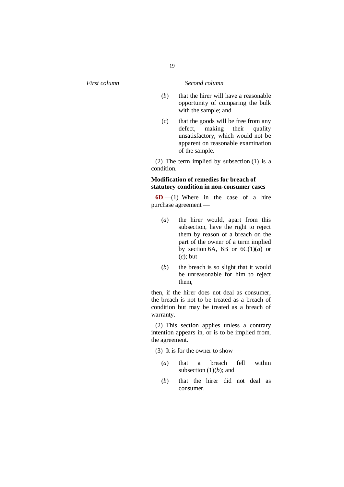- (*b*) that the hirer will have a reasonable opportunity of comparing the bulk with the sample; and
- (*c*) that the goods will be free from any defect, making their quality unsatisfactory, which would not be apparent on reasonable examination of the sample.

(2) The term implied by subsection (1) is a condition.

#### **Modification of remedies for breach of statutory condition in non-consumer cases**

**6D**.—(1) Where in the case of a hire purchase agreement —

- (*a*) the hirer would, apart from this subsection, have the right to reject them by reason of a breach on the part of the owner of a term implied by section 6A, 6B or  $6C(1)(a)$  or (*c*); but
- (*b*) the breach is so slight that it would be unreasonable for him to reject them,

then, if the hirer does not deal as consumer, the breach is not to be treated as a breach of condition but may be treated as a breach of warranty.

(2) This section applies unless a contrary intention appears in, or is to be implied from, the agreement.

(3) It is for the owner to show —

- (*a*) that a breach fell within subsection  $(1)(b)$ ; and
- (*b*) that the hirer did not deal as consumer.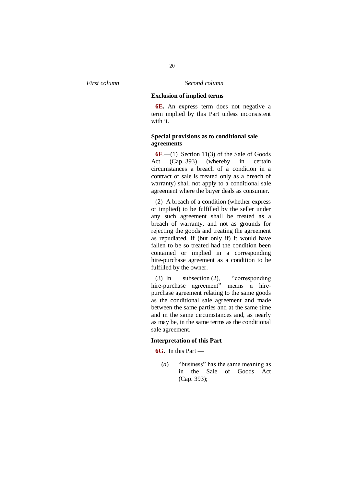#### **Exclusion of implied terms**

**6E.** An express term does not negative a term implied by this Part unless inconsistent with it.

#### **Special provisions as to conditional sale agreements**

**6F**.—(1) Section 11(3) of the Sale of Goods Act (Cap. 393) (whereby in certain circumstances a breach of a condition in a contract of sale is treated only as a breach of warranty) shall not apply to a conditional sale agreement where the buyer deals as consumer.

(2) A breach of a condition (whether express or implied) to be fulfilled by the seller under any such agreement shall be treated as a breach of warranty, and not as grounds for rejecting the goods and treating the agreement as repudiated, if (but only if) it would have fallen to be so treated had the condition been contained or implied in a corresponding hire-purchase agreement as a condition to be fulfilled by the owner.

(3) In subsection (2), "corresponding hire-purchase agreement" means a hirepurchase agreement relating to the same goods as the conditional sale agreement and made between the same parties and at the same time and in the same circumstances and, as nearly as may be, in the same terms as the conditional sale agreement.

#### **Interpretation of this Part**

**6G.** In this Part —

(*a*) "business" has the same meaning as in the Sale of Goods Act (Cap. 393);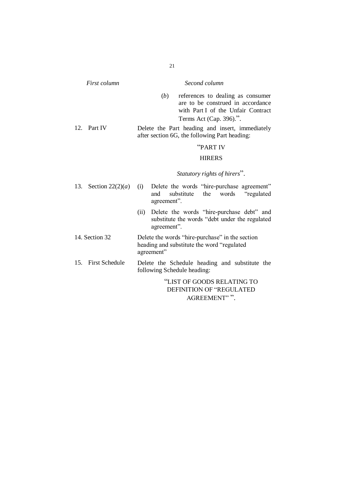| First column   |                       | Second column                                                                                                                                  |
|----------------|-----------------------|------------------------------------------------------------------------------------------------------------------------------------------------|
|                |                       | (b)<br>references to dealing as consumer<br>are to be construed in accordance<br>with Part I of the Unfair Contract<br>Terms Act (Cap. 396).". |
| 12.            | Part IV               | Delete the Part heading and insert, immediately<br>after section 6G, the following Part heading:                                               |
|                |                       | "PART IV                                                                                                                                       |
|                |                       | <b>HIRERS</b>                                                                                                                                  |
|                |                       | Statutory rights of hirers".                                                                                                                   |
| 13.            | Section $22(2)(a)$    | Delete the words "hire-purchase agreement"<br>(i)<br>substitute the<br>and<br>words<br>"regulated"<br>agreement".                              |
|                |                       | Delete the words "hire-purchase debt" and<br>(ii)<br>substitute the words "debt under the regulated<br>agreement".                             |
| 14. Section 32 |                       | Delete the words "hire-purchase" in the section<br>heading and substitute the word "regulated<br>agreement"                                    |
| 15.            | <b>First Schedule</b> | Delete the Schedule heading and substitute the<br>following Schedule heading:                                                                  |
|                |                       | "LIST OF GOODS RELATING TO<br><b>DEFINITION OF "REGULATED</b>                                                                                  |

AGREEMENT" ".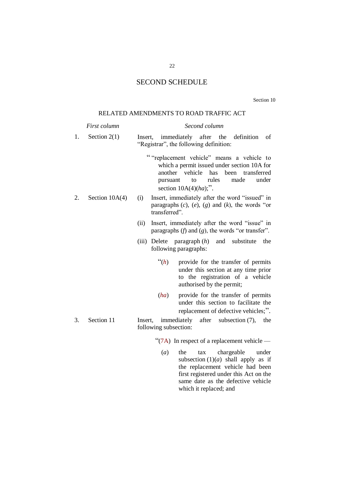## SECOND SCHEDULE

Section 10

## RELATED AMENDMENTS TO ROAD TRAFFIC ACT

|    | First column                                                                                                                         | Second column                                                                                                                                                                                                    |  |  |  |  |
|----|--------------------------------------------------------------------------------------------------------------------------------------|------------------------------------------------------------------------------------------------------------------------------------------------------------------------------------------------------------------|--|--|--|--|
| 1. | Section $2(1)$                                                                                                                       | immediately after the definition<br>Insert,<br>of<br>"Registrar", the following definition:                                                                                                                      |  |  |  |  |
|    |                                                                                                                                      | "replacement vehicle" means a vehicle to<br>which a permit issued under section 10A for<br>another<br>vehicle<br>has<br>been transferred<br>rules<br>made<br>under<br>to<br>pursuant<br>section $10A(4)(ha)$ ;". |  |  |  |  |
| 2. | Insert, immediately after the word "issued" in<br>(i)<br>paragraphs $(c)$ , $(e)$ , $(g)$ and $(k)$ , the words "or<br>transferred". |                                                                                                                                                                                                                  |  |  |  |  |
|    |                                                                                                                                      | Insert, immediately after the word "issue" in<br>(ii)<br>paragraphs $(f)$ and $(g)$ , the words "or transfer".                                                                                                   |  |  |  |  |
|    |                                                                                                                                      | (iii) Delete paragraph $(h)$ and substitute<br>the<br>following paragraphs:                                                                                                                                      |  |  |  |  |
|    |                                                                                                                                      | $\lq(n)$<br>provide for the transfer of permits<br>under this section at any time prior<br>to the registration of a vehicle<br>authorised by the permit;                                                         |  |  |  |  |
|    |                                                                                                                                      | provide for the transfer of permits<br>(ha)<br>under this section to facilitate the<br>replacement of defective vehicles;".                                                                                      |  |  |  |  |
| 3. | Section 11                                                                                                                           | immediately after subsection (7),<br>Insert,<br>the<br>following subsection:                                                                                                                                     |  |  |  |  |

"(7A) In respect of a replacement vehicle —

(*a*) the tax chargeable under subsection  $(1)(a)$  shall apply as if the replacement vehicle had been first registered under this Act on the same date as the defective vehicle which it replaced; and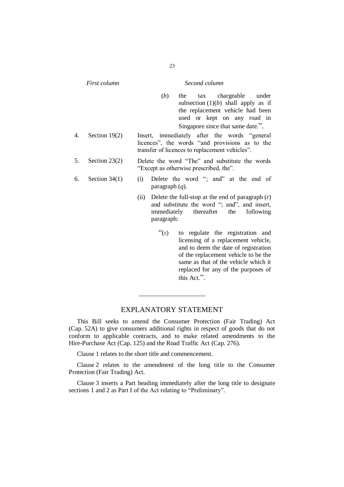| First column |                 | Second column                                                                            |                        |                                                                                                                                                                                                                                                       |
|--------------|-----------------|------------------------------------------------------------------------------------------|------------------------|-------------------------------------------------------------------------------------------------------------------------------------------------------------------------------------------------------------------------------------------------------|
|              |                 |                                                                                          | (b)                    | tax chargeable under<br>the<br>subsection $(1)(b)$ shall apply as if<br>the replacement vehicle had been<br>used or kept on any road in<br>Singapore since that same date.".                                                                          |
| 4.           | Section $19(2)$ |                                                                                          |                        | Insert, immediately after the words "general<br>licences", the words "and provisions as to the<br>transfer of licences to replacement vehicles".                                                                                                      |
| 5.           | Section $23(2)$ | Delete the word "The" and substitute the words<br>"Except as otherwise prescribed, the". |                        |                                                                                                                                                                                                                                                       |
| 6.           | Section $34(1)$ | (i)                                                                                      | paragraph $(q)$ .      | Delete the word "; and" at the end of                                                                                                                                                                                                                 |
|              |                 | (ii)                                                                                     | paragraph:             | Delete the full-stop at the end of paragraph $(r)$<br>and substitute the word "; and", and insert,<br>immediately thereafter the<br>following                                                                                                         |
|              |                 |                                                                                          | $\mathfrak{c}_s$ $(s)$ | to regulate the registration and<br>licensing of a replacement vehicle,<br>and to deem the date of registration<br>of the replacement vehicle to be the<br>same as that of the vehicle which it<br>replaced for any of the purposes of<br>this Act.". |

## EXPLANATORY STATEMENT

This Bill seeks to amend the Consumer Protection (Fair Trading) Act (Cap. 52A) to give consumers additional rights in respect of goods that do not conform to applicable contracts, and to make related amendments to the Hire-Purchase Act (Cap. 125) and the Road Traffic Act (Cap. 276).

Clause 1 relates to the short title and commencement.

Clause 2 relates to the amendment of the long title to the Consumer Protection (Fair Trading) Act.

Clause 3 inserts a Part heading immediately after the long title to designate sections 1 and 2 as Part I of the Act relating to "Preliminary".

23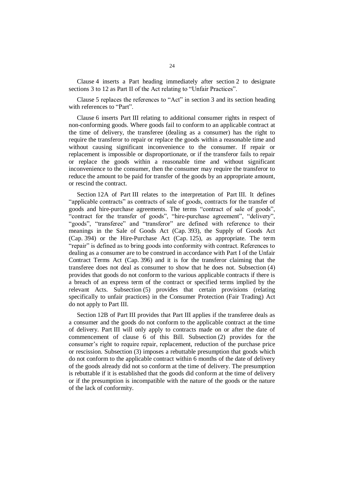Clause 4 inserts a Part heading immediately after section 2 to designate sections 3 to 12 as Part II of the Act relating to "Unfair Practices".

Clause 5 replaces the references to "Act" in section 3 and its section heading with references to "Part".

Clause 6 inserts Part III relating to additional consumer rights in respect of non-conforming goods. Where goods fail to conform to an applicable contract at the time of delivery, the transferee (dealing as a consumer) has the right to require the transferor to repair or replace the goods within a reasonable time and without causing significant inconvenience to the consumer. If repair or replacement is impossible or disproportionate, or if the transferor fails to repair or replace the goods within a reasonable time and without significant inconvenience to the consumer, then the consumer may require the transferor to reduce the amount to be paid for transfer of the goods by an appropriate amount, or rescind the contract.

Section 12A of Part III relates to the interpretation of Part III. It defines "applicable contracts" as contracts of sale of goods, contracts for the transfer of goods and hire-purchase agreements. The terms "contract of sale of goods", "contract for the transfer of goods", "hire-purchase agreement", "delivery", "goods", "transferee" and "transferor" are defined with reference to their meanings in the Sale of Goods Act (Cap. 393), the Supply of Goods Act (Cap. 394) or the Hire-Purchase Act (Cap. 125), as appropriate. The term "repair" is defined as to bring goods into conformity with contract. References to dealing as a consumer are to be construed in accordance with Part I of the Unfair Contract Terms Act (Cap. 396) and it is for the transferor claiming that the transferee does not deal as consumer to show that he does not. Subsection (4) provides that goods do not conform to the various applicable contracts if there is a breach of an express term of the contract or specified terms implied by the relevant Acts. Subsection (5) provides that certain provisions (relating specifically to unfair practices) in the Consumer Protection (Fair Trading) Act do not apply to Part III.

Section 12B of Part III provides that Part III applies if the transferee deals as a consumer and the goods do not conform to the applicable contract at the time of delivery. Part III will only apply to contracts made on or after the date of commencement of clause 6 of this Bill. Subsection (2) provides for the consumer's right to require repair, replacement, reduction of the purchase price or rescission. Subsection (3) imposes a rebuttable presumption that goods which do not conform to the applicable contract within 6 months of the date of delivery of the goods already did not so conform at the time of delivery. The presumption is rebuttable if it is established that the goods did conform at the time of delivery or if the presumption is incompatible with the nature of the goods or the nature of the lack of conformity.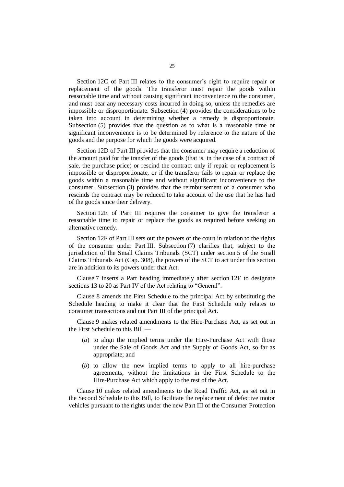Section 12C of Part III relates to the consumer's right to require repair or replacement of the goods. The transferor must repair the goods within reasonable time and without causing significant inconvenience to the consumer, and must bear any necessary costs incurred in doing so, unless the remedies are impossible or disproportionate. Subsection (4) provides the considerations to be taken into account in determining whether a remedy is disproportionate. Subsection (5) provides that the question as to what is a reasonable time or significant inconvenience is to be determined by reference to the nature of the goods and the purpose for which the goods were acquired.

Section 12D of Part III provides that the consumer may require a reduction of the amount paid for the transfer of the goods (that is, in the case of a contract of sale, the purchase price) or rescind the contract only if repair or replacement is impossible or disproportionate, or if the transferor fails to repair or replace the goods within a reasonable time and without significant inconvenience to the consumer. Subsection (3) provides that the reimbursement of a consumer who rescinds the contract may be reduced to take account of the use that he has had of the goods since their delivery.

Section 12E of Part III requires the consumer to give the transferor a reasonable time to repair or replace the goods as required before seeking an alternative remedy.

Section 12F of Part III sets out the powers of the court in relation to the rights of the consumer under Part III. Subsection (7) clarifies that, subject to the jurisdiction of the Small Claims Tribunals (SCT) under section 5 of the Small Claims Tribunals Act (Cap. 308), the powers of the SCT to act under this section are in addition to its powers under that Act.

Clause 7 inserts a Part heading immediately after section 12F to designate sections 13 to 20 as Part IV of the Act relating to "General".

Clause 8 amends the First Schedule to the principal Act by substituting the Schedule heading to make it clear that the First Schedule only relates to consumer transactions and not Part III of the principal Act.

Clause 9 makes related amendments to the Hire-Purchase Act, as set out in the First Schedule to this Bill —

- (*a*) to align the implied terms under the Hire-Purchase Act with those under the Sale of Goods Act and the Supply of Goods Act, so far as appropriate; and
- (*b*) to allow the new implied terms to apply to all hire-purchase agreements, without the limitations in the First Schedule to the Hire-Purchase Act which apply to the rest of the Act.

Clause 10 makes related amendments to the Road Traffic Act, as set out in the Second Schedule to this Bill, to facilitate the replacement of defective motor vehicles pursuant to the rights under the new Part III of the Consumer Protection